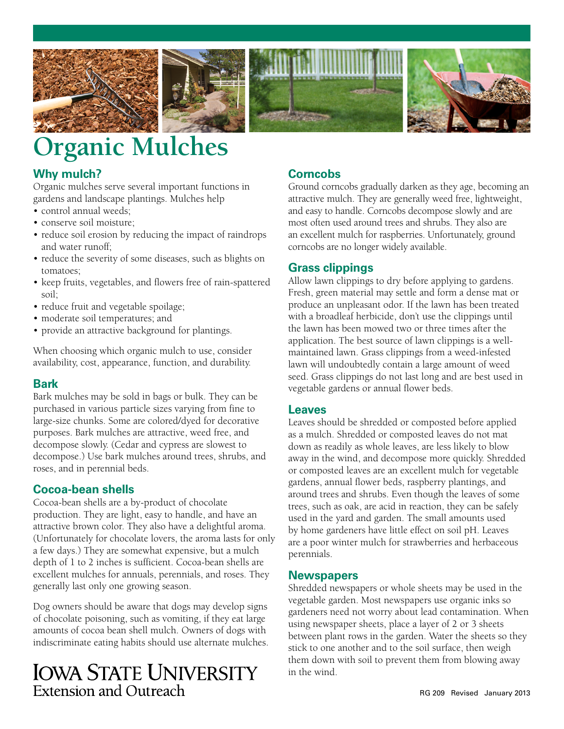





# **Organic Mulches**

# **Why mulch?**

Organic mulches serve several important functions in gardens and landscape plantings. Mulches help

- control annual weeds;
- conserve soil moisture;
- reduce soil erosion by reducing the impact of raindrops and water runoff;
- reduce the severity of some diseases, such as blights on tomatoes;
- keep fruits, vegetables, and flowers free of rain-spattered soil;
- reduce fruit and vegetable spoilage;
- moderate soil temperatures; and
- provide an attractive background for plantings.

When choosing which organic mulch to use, consider availability, cost, appearance, function, and durability.

#### **Bark**

Bark mulches may be sold in bags or bulk. They can be purchased in various particle sizes varying from fine to large-size chunks. Some are colored/dyed for decorative purposes. Bark mulches are attractive, weed free, and decompose slowly. (Cedar and cypress are slowest to decompose.) Use bark mulches around trees, shrubs, and roses, and in perennial beds.

# **Cocoa-bean shells**

Cocoa-bean shells are a by-product of chocolate production. They are light, easy to handle, and have an attractive brown color. They also have a delightful aroma. (Unfortunately for chocolate lovers, the aroma lasts for only a few days.) They are somewhat expensive, but a mulch depth of 1 to 2 inches is sufficient. Cocoa-bean shells are excellent mulches for annuals, perennials, and roses. They generally last only one growing season.

Dog owners should be aware that dogs may develop signs of chocolate poisoning, such as vomiting, if they eat large amounts of cocoa bean shell mulch. Owners of dogs with indiscriminate eating habits should use alternate mulches.

# **IOWA STATE UNIVERSITY** Extension and Outreach

# **Corncobs**

Ground corncobs gradually darken as they age, becoming an attractive mulch. They are generally weed free, lightweight, and easy to handle. Corncobs decompose slowly and are most often used around trees and shrubs. They also are an excellent mulch for raspberries. Unfortunately, ground corncobs are no longer widely available.

# **Grass clippings**

Allow lawn clippings to dry before applying to gardens. Fresh, green material may settle and form a dense mat or produce an unpleasant odor. If the lawn has been treated with a broadleaf herbicide, don't use the clippings until the lawn has been mowed two or three times after the application. The best source of lawn clippings is a wellmaintained lawn. Grass clippings from a weed-infested lawn will undoubtedly contain a large amount of weed seed. Grass clippings do not last long and are best used in vegetable gardens or annual flower beds.

# **Leaves**

Leaves should be shredded or composted before applied as a mulch. Shredded or composted leaves do not mat down as readily as whole leaves, are less likely to blow away in the wind, and decompose more quickly. Shredded or composted leaves are an excellent mulch for vegetable gardens, annual flower beds, raspberry plantings, and around trees and shrubs. Even though the leaves of some trees, such as oak, are acid in reaction, they can be safely used in the yard and garden. The small amounts used by home gardeners have little effect on soil pH. Leaves are a poor winter mulch for strawberries and herbaceous perennials.

#### **Newspapers**

Shredded newspapers or whole sheets may be used in the vegetable garden. Most newspapers use organic inks so gardeners need not worry about lead contamination. When using newspaper sheets, place a layer of 2 or 3 sheets between plant rows in the garden. Water the sheets so they stick to one another and to the soil surface, then weigh them down with soil to prevent them from blowing away in the wind.